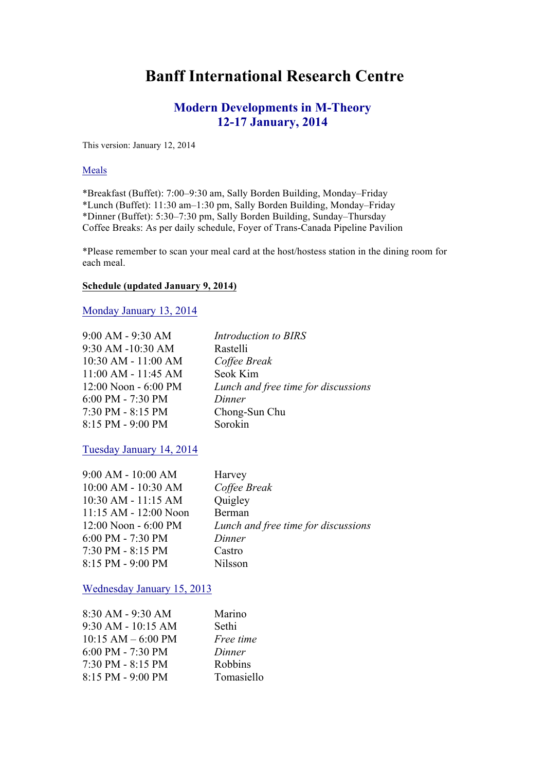# **Banff International Research Centre**

# **Modern Developments in M-Theory 12-17 January, 2014**

This version: January 12, 2014

#### Meals

\*Breakfast (Buffet): 7:00–9:30 am, Sally Borden Building, Monday–Friday \*Lunch (Buffet): 11:30 am–1:30 pm, Sally Borden Building, Monday–Friday \*Dinner (Buffet): 5:30–7:30 pm, Sally Borden Building, Sunday–Thursday Coffee Breaks: As per daily schedule, Foyer of Trans-Canada Pipeline Pavilion

\*Please remember to scan your meal card at the host/hostess station in the dining room for each meal.

#### **Schedule (updated January 9, 2014)**

Monday January 13, 2014

| 9:00 AM - 9:30 AM    |
|----------------------|
| 9:30 AM -10:30 AM    |
| 10:30 AM - 11:00 AM  |
| 11:00 AM - 11:45 AM  |
| 12:00 Noon - 6:00 PM |
| $6:00$ PM - 7:30 PM  |
| 7:30 PM - 8:15 PM    |
| 8:15 PM - 9:00 PM    |

**Introduction to BIRS** Rastelli  $C$ offee Break Seok Kim 12:00 Noon - 6:00 PM *Lunch and free time for discussions*  $Dinner$ Chong-Sun Chu Sorokin

Tuesday January 14, 2014

| $9:00$ AM - $10:00$ AM    | Harvey                              |
|---------------------------|-------------------------------------|
| $10:00$ AM - $10:30$ AM   | Coffee Break                        |
| $10:30$ AM - $11:15$ AM   | Quigley                             |
| $11:15$ AM - $12:00$ Noon | Berman                              |
| $12:00$ Noon - 6:00 PM    | Lunch and free time for discussions |
| $6:00$ PM - 7:30 PM       | Dinner                              |
| $7:30$ PM - 8:15 PM       | Castro                              |
| 8:15 PM - 9:00 PM         | <b>Nilsson</b>                      |

Wednesday January 15, 2013

| 8:30 AM - 9:30 AM      | Marino     |
|------------------------|------------|
| $9:30$ AM - $10:15$ AM | Sethi      |
| $10:15$ AM $-6:00$ PM  | Free time  |
| 6:00 PM - 7:30 PM      | Dinner     |
| 7:30 PM - 8:15 PM      | Robbins    |
| 8:15 PM - 9:00 PM      | Tomasiello |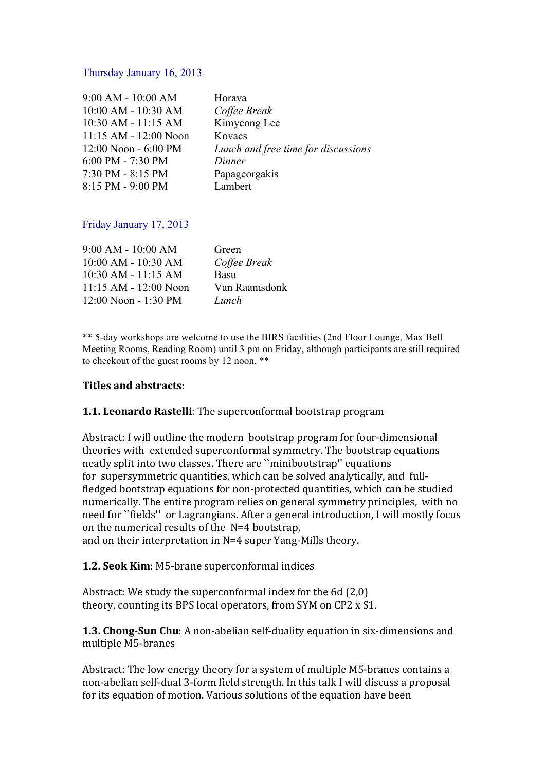#### Thursday January 16, 2013

| 9:00 AM - 10:00 AM      |
|-------------------------|
| 10:00 AM - 10:30 AM     |
| $10:30$ AM - $11:15$ AM |
| 11:15 AM - 12:00 Noon   |
| $12:00$ Noon - 6:00 PM  |
| 6:00 PM - 7:30 PM       |
| 7:30 PM - 8:15 PM       |
| 8:15 PM - 9:00 PM       |
|                         |

Horava  $C$ offee Break Kimyeong Lee Kovacs Lunch and free time for discussions Dinner Papageorgakis Lambert

### Friday January 17, 2013

| $9:00 AM - 10:00 AM$      | Green         |
|---------------------------|---------------|
| $10:00$ AM - $10:30$ AM   | Coffee Break  |
| $10:30$ AM - $11:15$ AM   | Basu          |
| $11:15$ AM - $12:00$ Noon | Van Raamsdonk |
| 12:00 Noon - 1:30 PM      | Lunch         |

\*\* 5-day workshops are welcome to use the BIRS facilities (2nd Floor Lounge, Max Bell Meeting Rooms, Reading Room) until 3 pm on Friday, although participants are still required to checkout of the guest rooms by 12 noon. \*\*

### **Titles'and'abstracts:**

### **1.1. Leonardo Rastelli**: The superconformal bootstrap program

Abstract: I will outline the modern bootstrap program for four-dimensional theories with extended superconformal symmetry. The bootstrap equations neatly split into two classes. There are "minibootstrap" equations for supersymmetric quantities, which can be solved analytically, and fullfledged bootstrap equations for non-protected quantities, which can be studied numerically. The entire program relies on general symmetry principles, with no need for ``fields'' or Lagrangians. After a general introduction, I will mostly focus on the numerical results of the  $N=4$  bootstrap,

and on their interpretation in  $N=4$  super Yang-Mills theory.

#### **1.2. Seok Kim**: M5-brane superconformal indices

Abstract: We study the superconformal index for the 6d  $(2,0)$ theory, counting its BPS local operators, from SYM on CP2 x S1.

**1.3. Chong-Sun Chu**: A non-abelian self-duality equation in six-dimensions and multiple M5-branes

Abstract: The low energy theory for a system of multiple M5-branes contains a non-abelian self-dual 3-form field strength. In this talk I will discuss a proposal for its equation of motion. Various solutions of the equation have been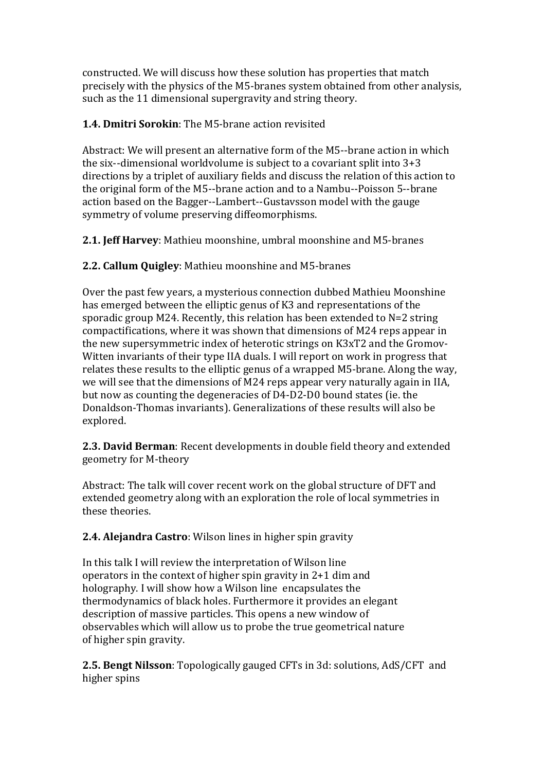constructed. We will discuss how these solution has properties that match precisely with the physics of the M5-branes system obtained from other analysis, such as the 11 dimensional supergravity and string theory.

## **1.4. Dmitri Sorokin:** The M5-brane action revisited

Abstract: We will present an alternative form of the M5--brane action in which the six--dimensional worldvolume is subject to a covariant split into  $3+3$ directions by a triplet of auxiliary fields and discuss the relation of this action to the original form of the M5--brane action and to a Nambu--Poisson 5--brane action based on the Bagger--Lambert--Gustavsson model with the gauge symmetry of volume preserving diffeomorphisms.

**2.1. Jeff Harvey:** Mathieu moonshine, umbral moonshine and M5-branes

**2.2. Callum Quigley**: Mathieu moonshine and M5-branes

Over the past few years, a mysterious connection dubbed Mathieu Moonshine has emerged between the elliptic genus of K3 and representations of the sporadic group M24. Recently, this relation has been extended to  $N=2$  string compactifications, where it was shown that dimensions of M24 reps appear in the new supersymmetric index of heterotic strings on K3xT2 and the Gromov-Witten invariants of their type IIA duals. I will report on work in progress that relates these results to the elliptic genus of a wrapped M5-brane. Along the way, we will see that the dimensions of M24 reps appear very naturally again in IIA, but now as counting the degeneracies of D4-D2-D0 bound states (ie. the Donaldson-Thomas invariants). Generalizations of these results will also be explored.

**2.3. David Berman**: Recent developments in double field theory and extended geometry for M-theory

Abstract: The talk will cover recent work on the global structure of DFT and extended geometry along with an exploration the role of local symmetries in these theories

**2.4. Alejandra Castro**: Wilson lines in higher spin gravity

In this talk I will review the interpretation of Wilson line operators in the context of higher spin gravity in  $2+1$  dim and holography. I will show how a Wilson line encapsulates the thermodynamics of black holes. Furthermore it provides an elegant description of massive particles. This opens a new window of observables which will allow us to probe the true geometrical nature of higher spin gravity.

**2.5. Bengt Nilsson**: Topologically gauged CFTs in 3d: solutions, AdS/CFT and higher spins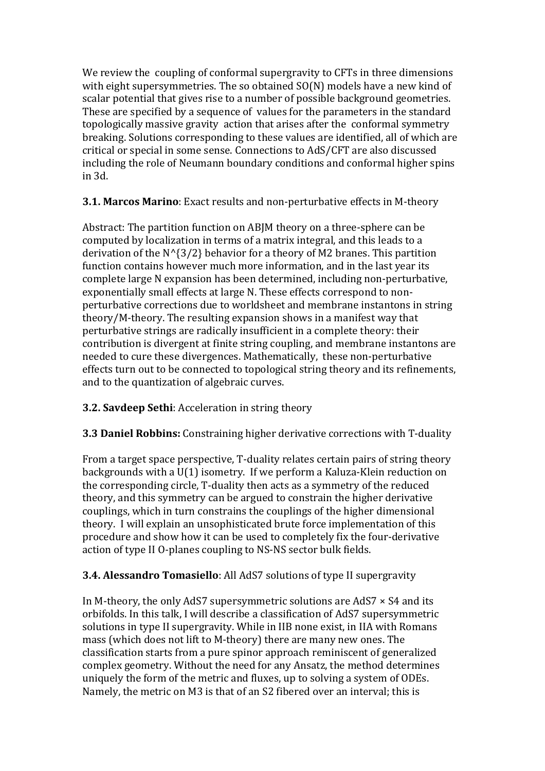We review the coupling of conformal supergravity to CFTs in three dimensions with eight supersymmetries. The so obtained  $SO(N)$  models have a new kind of scalar potential that gives rise to a number of possible background geometries. These are specified by a sequence of values for the parameters in the standard topologically massive gravity action that arises after the conformal symmetry breaking. Solutions corresponding to these values are identified, all of which are critical or special in some sense. Connections to AdS/CFT are also discussed including the role of Neumann boundary conditions and conformal higher spins in!3d.

**3.1. Marcos Marino**: Exact results and non-perturbative effects in M-theory

Abstract: The partition function on ABJM theory on a three-sphere can be computed by localization in terms of a matrix integral, and this leads to a derivation of the  $N^{(3/2)}$  behavior for a theory of M2 branes. This partition function contains however much more information, and in the last year its complete large N expansion has been determined, including non-perturbative, exponentially small effects at large N. These effects correspond to nonperturbative corrections due to worldsheet and membrane instantons in string theory/M-theory. The resulting expansion shows in a manifest way that perturbative strings are radically insufficient in a complete theory: their contribution is divergent at finite string coupling, and membrane instantons are needed to cure these divergences. Mathematically, these non-perturbative effects turn out to be connected to topological string theory and its refinements, and to the quantization of algebraic curves.

**3.2. Savdeep Sethi:** Acceleration in string theory

**3.3 Daniel Robbins:** Constraining higher derivative corrections with T-duality

From a target space perspective, T-duality relates certain pairs of string theory backgrounds with a  $U(1)$  isometry. If we perform a Kaluza-Klein reduction on the corresponding circle, T-duality then acts as a symmetry of the reduced theory, and this symmetry can be argued to constrain the higher derivative couplings, which in turn constrains the couplings of the higher dimensional theory. I will explain an unsophisticated brute force implementation of this procedure and show how it can be used to completely fix the four-derivative action of type II O-planes coupling to NS-NS sector bulk fields.

**3.4. Alessandro Tomasiello**: All AdS7 solutions of type II supergravity

In M-theory, the only AdS7 supersymmetric solutions are AdS7  $\times$  S4 and its orbifolds. In this talk, I will describe a classification of AdS7 supersymmetric solutions in type II supergravity. While in IIB none exist, in IIA with Romans mass (which does not lift to M-theory) there are many new ones. The classification starts from a pure spinor approach reminiscent of generalized complex geometry. Without the need for any Ansatz, the method determines uniquely the form of the metric and fluxes, up to solving a system of ODEs. Namely, the metric on M3 is that of an S2 fibered over an interval; this is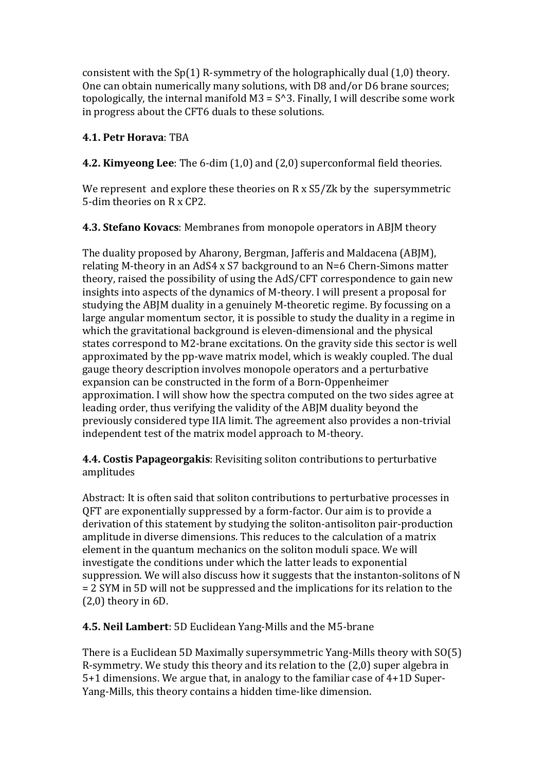consistent with the  $Sp(1)$  R-symmetry of the holographically dual  $(1,0)$  theory. One can obtain numerically many solutions, with D8 and/or D6 brane sources; topologically, the internal manifold  $M3 = S^3$ . Finally, I will describe some work in progress about the CFT6 duals to these solutions.

## 4.1. Petr Horava: TRA

4.2. Kimyeong Lee: The 6-dim (1,0) and (2,0) superconformal field theories.

We represent and explore these theories on  $R \times S5/Zk$  by the supersymmetric 5-dim theories on R x CP2.

4.3. Stefano Kovacs: Membranes from monopole operators in ABJM theory

The duality proposed by Aharony, Bergman, Jafferis and Maldacena (ABJM), relating M-theory in an AdS4 x S7 background to an N=6 Chern-Simons matter theory, raised the possibility of using the AdS/CFT correspondence to gain new insights into aspects of the dynamics of M-theory. I will present a proposal for studying the ABJM duality in a genuinely M-theoretic regime. By focussing on a large angular momentum sector, it is possible to study the duality in a regime in which the gravitational background is eleven-dimensional and the physical states correspond to M2-brane excitations. On the gravity side this sector is well approximated by the pp-wave matrix model, which is weakly coupled. The dual gauge theory description involves monopole operators and a perturbative expansion can be constructed in the form of a Born-Oppenheimer approximation. I will show how the spectra computed on the two sides agree at leading order, thus verifying the validity of the ABIM duality beyond the previously considered type IIA limit. The agreement also provides a non-trivial independent test of the matrix model approach to M-theory.

4.4. Costis Papageorgakis: Revisiting soliton contributions to perturbative amplitudes

Abstract: It is often said that soliton contributions to perturbative processes in OFT are exponentially suppressed by a form-factor, Our aim is to provide a derivation of this statement by studying the soliton-antisoliton pair-production amplitude in diverse dimensions. This reduces to the calculation of a matrix element in the quantum mechanics on the soliton moduli space. We will investigate the conditions under which the latter leads to exponential suppression. We will also discuss how it suggests that the instanton-solitons of N = 2 SYM in 5D will not be suppressed and the implications for its relation to the  $(2,0)$  theory in 6D.

4.5. Neil Lambert: 5D Euclidean Yang-Mills and the M5-brane

There is a Euclidean 5D Maximally supersymmetric Yang-Mills theory with SO(5) R-symmetry. We study this theory and its relation to the (2,0) super algebra in 5+1 dimensions. We argue that, in analogy to the familiar case of 4+1D Super-Yang-Mills, this theory contains a hidden time-like dimension.